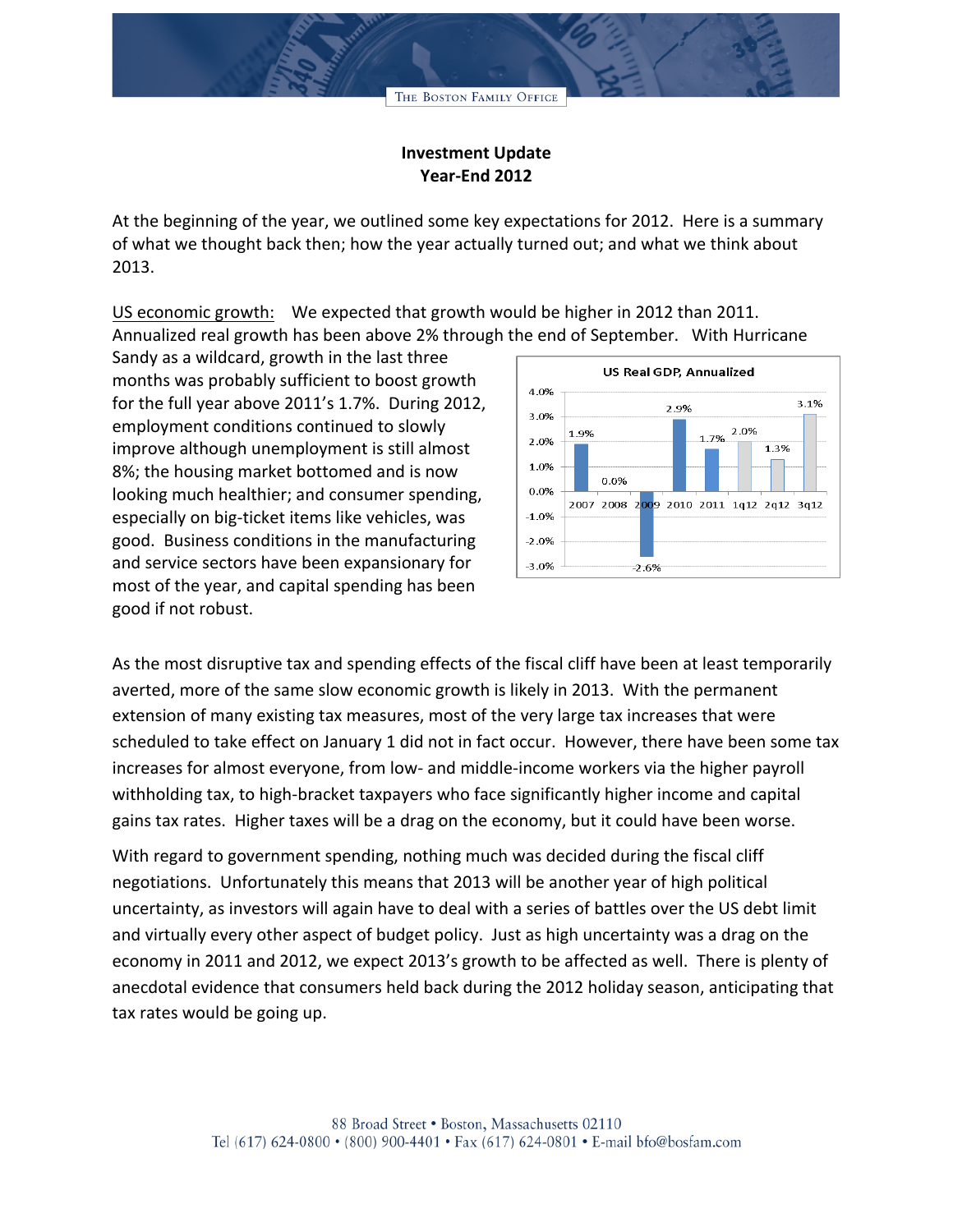## **Investment Update Year-End 2012**

At the beginning of the year, we outlined some key expectations for 2012. Here is a summary of what we thought back then; how the year actually turned out; and what we think about 2013.

US economic growth: We expected that growth would be higher in 2012 than 2011. Annualized real growth has been above 2% through the end of September. With Hurricane

Sandy as a wildcard, growth in the last three months was probably sufficient to boost growth for the full year above 2011's 1.7%. During 2012, employment conditions continued to slowly improve although unemployment is still almost 8%; the housing market bottomed and is now looking much healthier; and consumer spending, especially on big-ticket items like vehicles, was good. Business conditions in the manufacturing and service sectors have been expansionary for most of the year, and capital spending has been good if not robust.



As the most disruptive tax and spending effects of the fiscal cliff have been at least temporarily averted, more of the same slow economic growth is likely in 2013. With the permanent extension of many existing tax measures, most of the very large tax increases that were scheduled to take effect on January 1 did not in fact occur. However, there have been some tax increases for almost everyone, from low- and middle-income workers via the higher payroll withholding tax, to high-bracket taxpayers who face significantly higher income and capital gains tax rates. Higher taxes will be a drag on the economy, but it could have been worse.

With regard to government spending, nothing much was decided during the fiscal cliff negotiations. Unfortunately this means that 2013 will be another year of high political uncertainty, as investors will again have to deal with a series of battles over the US debt limit and virtually every other aspect of budget policy. Just as high uncertainty was a drag on the economy in 2011 and 2012, we expect 2013's growth to be affected as well. There is plenty of anecdotal evidence that consumers held back during the 2012 holiday season, anticipating that tax rates would be going up.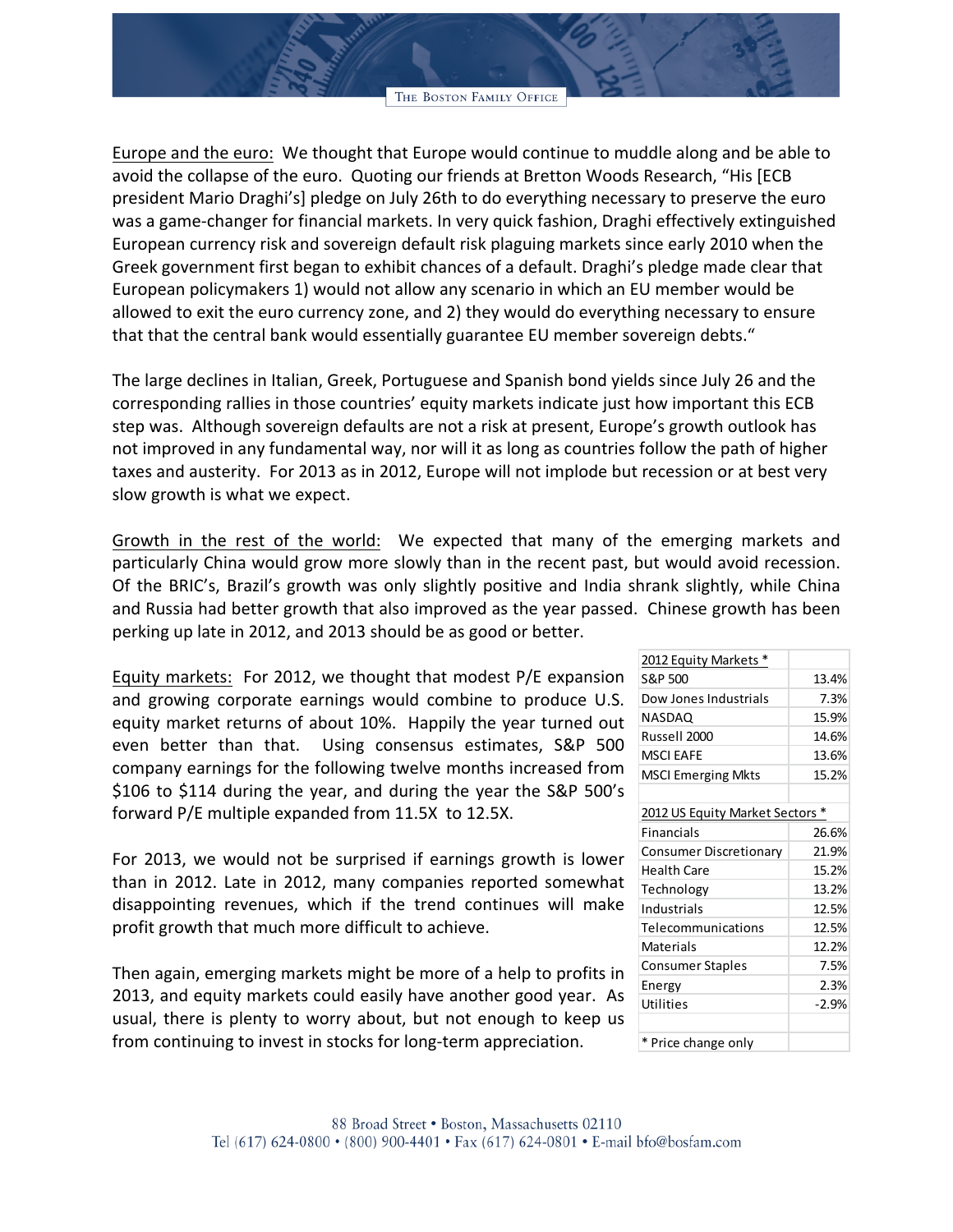Europe and the euro: We thought that Europe would continue to muddle along and be able to avoid the collapse of the euro. Quoting our friends at Bretton Woods Research, "His [ECB president Mario Draghi's] pledge on July 26th to do everything necessary to preserve the euro was a game-changer for financial markets. In very quick fashion, Draghi effectively extinguished European currency risk and sovereign default risk plaguing markets since early 2010 when the Greek government first began to exhibit chances of a default. Draghi's pledge made clear that European policymakers 1) would not allow any scenario in which an EU member would be allowed to exit the euro currency zone, and 2) they would do everything necessary to ensure that that the central bank would essentially guarantee EU member sovereign debts."

The large declines in Italian, Greek, Portuguese and Spanish bond yields since July 26 and the corresponding rallies in those countries' equity markets indicate just how important this ECB step was. Although sovereign defaults are not a risk at present, Europe's growth outlook has not improved in any fundamental way, nor will it as long as countries follow the path of higher taxes and austerity. For 2013 as in 2012, Europe will not implode but recession or at best very slow growth is what we expect.

Growth in the rest of the world: We expected that many of the emerging markets and particularly China would grow more slowly than in the recent past, but would avoid recession. Of the BRIC's, Brazil's growth was only slightly positive and India shrank slightly, while China and Russia had better growth that also improved as the year passed. Chinese growth has been perking up late in 2012, and 2013 should be as good or better.

Equity markets: For 2012, we thought that modest P/E expansion and growing corporate earnings would combine to produce U.S. equity market returns of about 10%. Happily the year turned out even better than that. Using consensus estimates, S&P 500 company earnings for the following twelve months increased from \$106 to \$114 during the year, and during the year the S&P 500's forward P/E multiple expanded from 11.5X to 12.5X.

For 2013, we would not be surprised if earnings growth is lower than in 2012. Late in 2012, many companies reported somewhat disappointing revenues, which if the trend continues will make profit growth that much more difficult to achieve.

Then again, emerging markets might be more of a help to profits in 2013, and equity markets could easily have another good year. As usual, there is plenty to worry about, but not enough to keep us from continuing to invest in stocks for long-term appreciation.

| 2012 Equity Markets *           |         |
|---------------------------------|---------|
| S&P 500                         | 13.4%   |
| Dow Jones Industrials           | 7.3%    |
| NASDAQ                          | 15.9%   |
| Russell 2000                    | 14.6%   |
| <b>MSCI EAFE</b>                | 13.6%   |
| <b>MSCI Emerging Mkts</b>       | 15.2%   |
|                                 |         |
| 2012 US Equity Market Sectors * |         |
| <b>Financials</b>               | 26.6%   |
| <b>Consumer Discretionary</b>   | 21.9%   |
| Health Care                     | 15.2%   |
| Technology                      | 13.2%   |
| Industrials                     | 12.5%   |
| Telecommunications              | 12.5%   |
| Materials                       | 12.2%   |
| <b>Consumer Staples</b>         | 7.5%    |
| Energy                          | 2.3%    |
| Utilities                       | $-2.9%$ |
|                                 |         |
| * Price change only             |         |